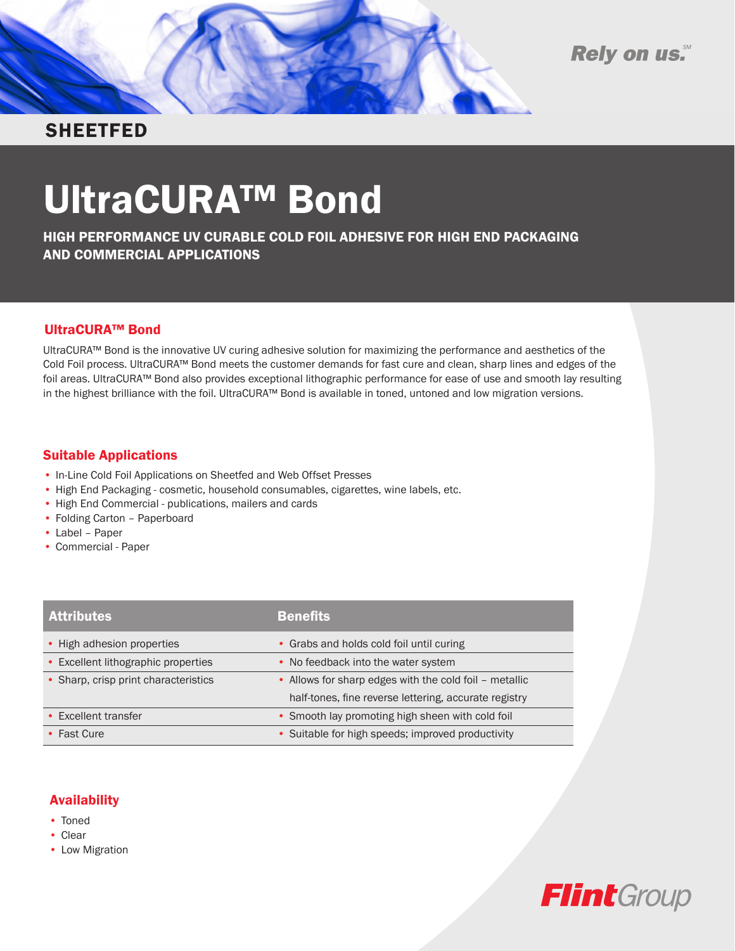



# **SHEETFED**

# UltraCURA™ Bond

HIGH PERFORMANCE UV CURABLE COLD FOIL ADHESIVE FOR HIGH END PACKAGING AND COMMERCIAL APPLICATIONS

## UltraCURA™ Bond

UltraCURA™ Bond is the innovative UV curing adhesive solution for maximizing the performance and aesthetics of the Cold Foil process. UltraCURA™ Bond meets the customer demands for fast cure and clean, sharp lines and edges of the foil areas. UltraCURA™ Bond also provides exceptional lithographic performance for ease of use and smooth lay resulting in the highest brilliance with the foil. UltraCURA™ Bond is available in toned, untoned and low migration versions.

### Suitable Applications

- In-Line Cold Foil Applications on Sheetfed and Web Offset Presses
- High End Packaging cosmetic, household consumables, cigarettes, wine labels, etc.
- High End Commercial publications, mailers and cards
- Folding Carton Paperboard
- • Label Paper
- • Commercial Paper

| <b>Attributes</b>                    | <b>Benefits</b>                                        |
|--------------------------------------|--------------------------------------------------------|
| • High adhesion properties           | • Grabs and holds cold foil until curing               |
| • Excellent lithographic properties  | • No feedback into the water system                    |
| • Sharp, crisp print characteristics | • Allows for sharp edges with the cold foil - metallic |
|                                      | half-tones, fine reverse lettering, accurate registry  |
| • Excellent transfer                 | • Smooth lay promoting high sheen with cold foil       |
| • Fast Cure                          | • Suitable for high speeds; improved productivity      |

# Availability

- Toned
- • Clear
- Low Migration